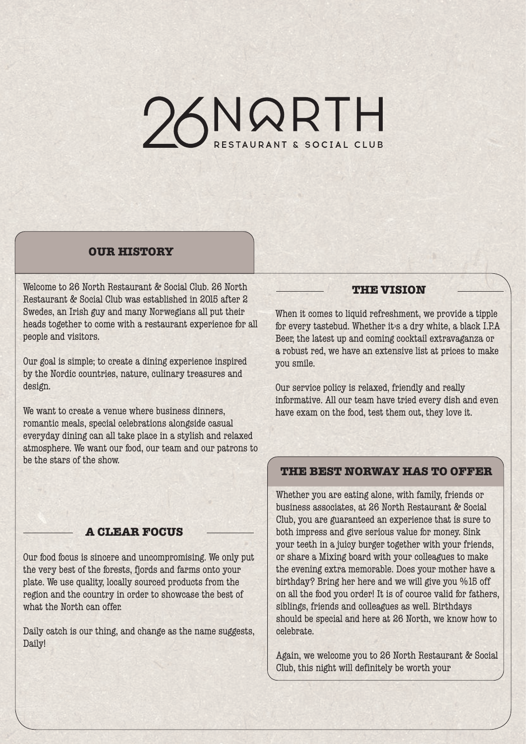# 26 NQRTH

### **OUR HISTORY**

Welcome to 26 North Restaurant & Social Club. 26 North Restaurant & Social Club was established in 2015 after 2 Swedes, an Irish guy and many Norwegians all put their heads together to come with a restaurant experience for all people and visitors.

Our goal is simple; to create a dining experience inspired by the Nordic countries, nature, culinary treasures and design.

We want to create a venue where business dinners, romantic meals, special celebrations alongside casual everyday dining can all take place in a stylish and relaxed atmosphere. We want our food, our team and our patrons to be the stars of the show.

## **THE VISION**

When it comes to liquid refreshment, we provide a tipple for every tastebud. Whether it›s a dry white, a black I.P.A Beer, the latest up and coming cocktail extravaganza or a robust red, we have an extensive list at prices to make you smile.

Our service policy is relaxed, friendly and really informative. All our team have tried every dish and even have exam on the food, test them out, they love it.

## **THE BEST NORWAY HAS TO OFFER**

Whether you are eating alone, with family, friends or business associates, at 26 North Restaurant & Social Club, you are guaranteed an experience that is sure to both impress and give serious value for money. Sink your teeth in a juicy burger together with your friends, or share a Mixing board with your colleagues to make the evening extra memorable. Does your mother have a birthday? Bring her here and we will give you %15 off on all the food you order! It is of cource valid for fathers, siblings, friends and colleagues as well. Birthdays should be special and here at 26 North, we know how to celebrate.

Again, we welcome you to 26 North Restaurant & Social Club, this night will definitely be worth your

# **A CLEAR FOCUS**

Our food focus is sincere and uncompromising. We only put the very best of the forests, fjords and farms onto your plate. We use quality, locally sourced products from the region and the country in order to showcase the best of what the North can offer.

Daily catch is our thing, and change as the name suggests, Daily!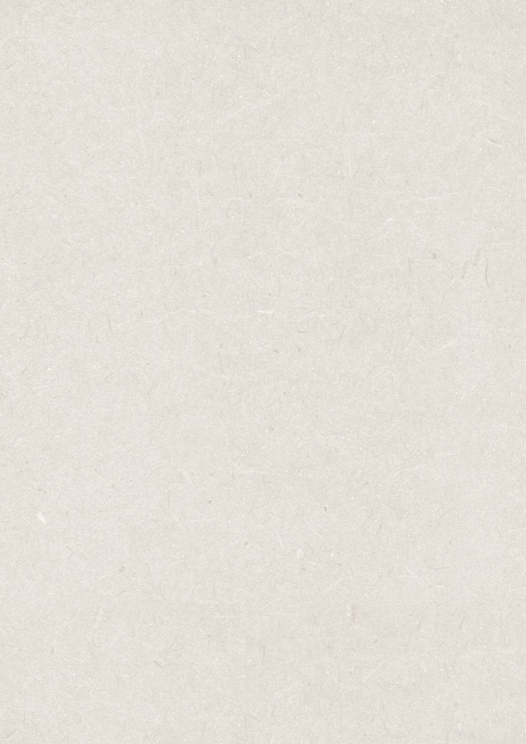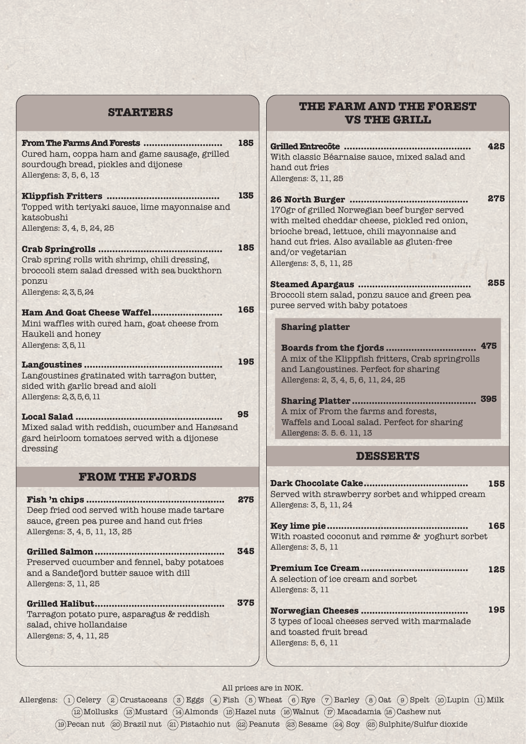| <b>STARTERS</b>                                                                                                                                 |     | <b>THE FARM AND THE FOREST</b><br><b>VS THE GRILL</b>                                                                                                                      |
|-------------------------------------------------------------------------------------------------------------------------------------------------|-----|----------------------------------------------------------------------------------------------------------------------------------------------------------------------------|
| From The Farms And Forests<br>Cured ham, coppa ham and game sausage, grilled<br>sourdough bread, pickles and dijonese<br>Allergens: 3, 5, 6, 13 | 185 | 425<br>With classic Béarnaise sauce, mixed salad and<br>hand cut fries<br>Allergens: 3, 11, 25                                                                             |
| Topped with teriyaki sauce, lime mayonnaise and<br>katsobushi<br>Allergens: 3, 4, 5, 24, 25                                                     | 135 | 275<br>170gr of grilled Norwegian beef burger served<br>with melted cheddar cheese, pickled red onion,<br>brioche bread, lettuce, chili mayonnaise and                     |
| Crab spring rolls with shrimp, chili dressing,<br>broccoli stem salad dressed with sea buckthorn<br>ponzu                                       | 185 | hand cut fries. Also available as gluten-free<br>and/or vegetarian<br>Allergens: 3, 5, 11, 25<br>255                                                                       |
| Allergens: 2, 3, 5, 24                                                                                                                          |     | Broccoli stem salad, ponzu sauce and green pea                                                                                                                             |
| Ham And Goat Cheese Waffel<br>Mini waffles with cured ham, goat cheese from<br>Haukeli and honey                                                | 165 | puree served with baby potatoes<br><b>Sharing platter</b>                                                                                                                  |
| Allergens: 3,5,11<br>Langoustines gratinated with tarragon butter,<br>sided with garlic bread and aioli<br>Allergens: 2, 3, 5, 6, 11            | 195 | 475<br>Boards from the fjords<br>A mix of the Klippfish fritters, Crab springrolls<br>and Langoustines. Perfect for sharing<br>Allergens: 2, 3, 4, 5, 6, 11, 24, 25<br>395 |
| Mixed salad with reddish, cucumber and Hanøsand<br>gard heirloom tomatoes served with a dijonese<br>dressing                                    | 95  | A mix of From the farms and forests,<br>Waffels and Local salad. Perfect for sharing<br>Allergens: 3.5.6.11, 13                                                            |
|                                                                                                                                                 |     | <b>DESSERTS</b>                                                                                                                                                            |
| <b>FROM THE FJORDS</b>                                                                                                                          |     | Dark Chocolate Cake.<br>155                                                                                                                                                |
| Deep fried cod served with house made tartare<br>sauce, green pea puree and hand cut fries                                                      | 275 | Served with strawberry sorbet and whipped cream<br>Allergens: 3, 5, 11, 24<br>165                                                                                          |
| Allergens: 3, 4, 5, 11, 13, 25                                                                                                                  |     | With roasted coconut and rømme & yoghurt sorbet                                                                                                                            |
| Preserved cucumber and fennel, baby potatoes<br>and a Sandefjord butter sauce with dill<br>Allergens: 3, 11, 25                                 | 345 | Allergens: 3, 5, 11<br>125<br>A selection of ice cream and sorbet<br>Allergens: 3, 11                                                                                      |
| Tarragon potato pure, asparagus & reddish<br>salad, chive hollandaise<br>Allergens: 3, 4, 11, 25                                                | 375 | 195<br>3 types of local cheeses served with marmalade<br>and toasted fruit bread<br>Allergens: 5, 6, 11                                                                    |

All prices are in NOK.

Allergens: (1)Celery (2)Crustaceans (3)Eggs (4)Fish (5)Wheat (6)Rye (7)Barley (8)Oat (9)Spelt (10)Lupin (11)Milk 12 Mollusks 13 Mustard 14 Almonds 15 Hazel nuts 16 Walnut 17 Macadamia 18 Cashew nut 19 Pecan nut 20 Brazil nut 21 Pistachio nut 22 Peanuts 23 Sesame 24 Soy 25 Sulphite/Sulfur dioxide